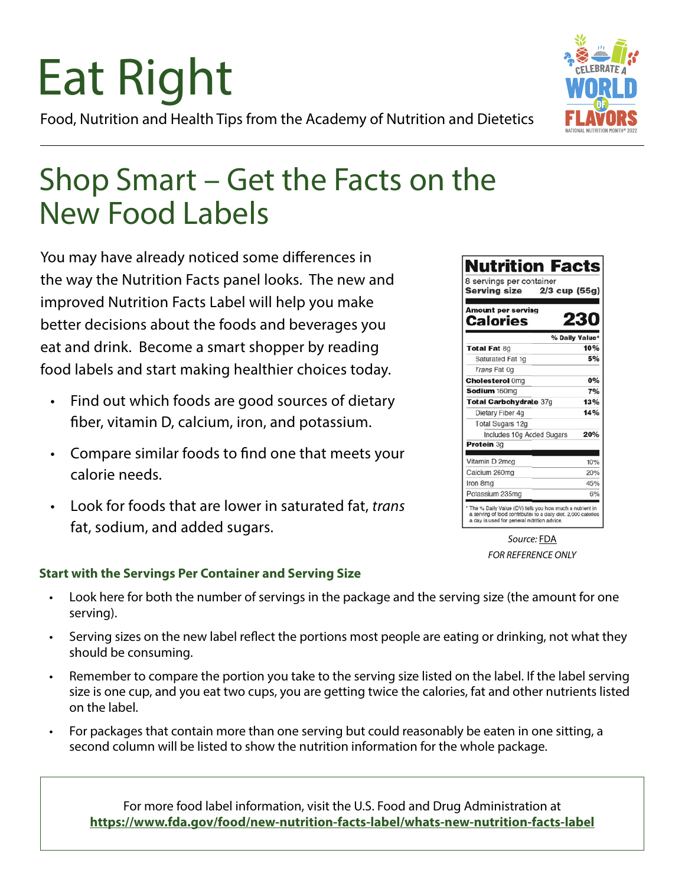## Eat Right Food, Nutrition and Health Tips from the Academy of Nutrition and Dietetics



You may have already noticed some differences in the way the Nutrition Facts panel looks. The new and improved Nutrition Facts Label will help you make better decisions about the foods and beverages you eat and drink. Become a smart shopper by reading food labels and start making healthier choices today.

- Find out which foods are good sources of dietary fiber, vitamin D, calcium, iron, and potassium.
- Compare similar foods to find one that meets your calorie needs.
- Look for foods that are lower in saturated fat, *trans* fat, sodium, and added sugars.

#### 8 servings per container **Serving size** 2/3 cup (55g) **Amount per serving Calories** % Daily Value Total Fat 8g 10% Saturated Fat 1g 5% Trans Fat 0g  $00<sub>4</sub>$ **Cholesterol Omg**  $7%$ Sodium 160mg Total Carbohydrate 37g 13%  $14%$ Dietary Fiber 4g **Total Sugars 12g** 20% Includes 10g Added Sugars Protein 3g Vitamin D 2mcg 10% Calcium 260mg 20% Iron 8mg 45% Potassium 235mg 6% The % Daily Value (DV) tells you how much a nutrient in<br>a serving of food contributes to a daily diet. 2,000 calories<br>a day is used for general nutrition advice.

**Nutrition Facts** 

*Source:* [FDA](https://www.fda.gov/food/food-labeling-nutrition/nutrition-facts-label-images-download ) *FOR REFERENCE ONLY*

### **Start with the Servings Per Container and Serving Size**

- Look here for both the number of servings in the package and the serving size (the amount for one serving).
- Serving sizes on the new label reflect the portions most people are eating or drinking, not what they should be consuming.
- Remember to compare the portion you take to the serving size listed on the label. If the label serving size is one cup, and you eat two cups, you are getting twice the calories, fat and other nutrients listed on the label.
- For packages that contain more than one serving but could reasonably be eaten in one sitting, a second column will be listed to show the nutrition information for the whole package.

For more food label information, visit the U.S. Food and Drug Administration at **<https://www.fda.gov/food/new-nutrition-facts-label/whats-new-nutrition-facts-label>**